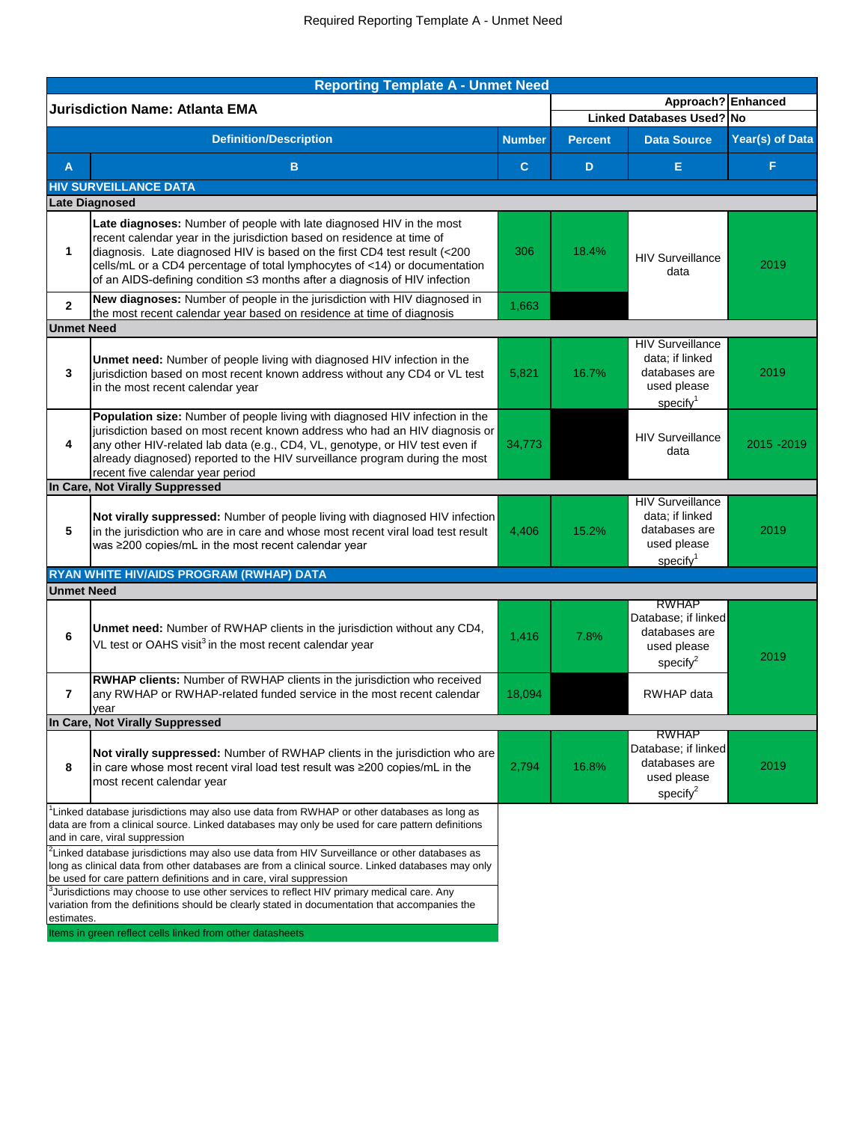|                   | <b>Reporting Template A - Unmet Need</b>                                                                                                                                                                                                                                                                                                                                                |               |                                 |                                                                                                     |                 |  |
|-------------------|-----------------------------------------------------------------------------------------------------------------------------------------------------------------------------------------------------------------------------------------------------------------------------------------------------------------------------------------------------------------------------------------|---------------|---------------------------------|-----------------------------------------------------------------------------------------------------|-----------------|--|
|                   | <b>Jurisdiction Name: Atlanta EMA</b>                                                                                                                                                                                                                                                                                                                                                   |               |                                 | Approach? Enhanced                                                                                  |                 |  |
|                   |                                                                                                                                                                                                                                                                                                                                                                                         |               |                                 | Linked Databases Used? No                                                                           |                 |  |
|                   | <b>Definition/Description</b>                                                                                                                                                                                                                                                                                                                                                           | <b>Number</b> | <b>Percent</b>                  | <b>Data Source</b>                                                                                  | Year(s) of Data |  |
| $\overline{A}$    | B.                                                                                                                                                                                                                                                                                                                                                                                      | $\mathbf C$   | D                               | E                                                                                                   | F               |  |
|                   | <b>HIV SURVEILLANCE DATA</b>                                                                                                                                                                                                                                                                                                                                                            |               |                                 |                                                                                                     |                 |  |
|                   | <b>Late Diagnosed</b>                                                                                                                                                                                                                                                                                                                                                                   |               |                                 |                                                                                                     |                 |  |
| 1                 | Late diagnoses: Number of people with late diagnosed HIV in the most<br>recent calendar year in the jurisdiction based on residence at time of<br>diagnosis. Late diagnosed HIV is based on the first CD4 test result (<200<br>cells/mL or a CD4 percentage of total lymphocytes of <14) or documentation<br>of an AIDS-defining condition ≤3 months after a diagnosis of HIV infection | 306           | 18.4%                           | <b>HIV Surveillance</b><br>data                                                                     | 2019            |  |
| $\mathbf{2}$      | New diagnoses: Number of people in the jurisdiction with HIV diagnosed in<br>the most recent calendar year based on residence at time of diagnosis                                                                                                                                                                                                                                      | 1,663         |                                 |                                                                                                     |                 |  |
| <b>Unmet Need</b> |                                                                                                                                                                                                                                                                                                                                                                                         |               |                                 |                                                                                                     |                 |  |
| 3                 | Unmet need: Number of people living with diagnosed HIV infection in the<br>jurisdiction based on most recent known address without any CD4 or VL test<br>in the most recent calendar year                                                                                                                                                                                               | 5,821         | 16.7%                           | <b>HIV Surveillance</b><br>data; if linked<br>databases are<br>used please<br>specific <sup>1</sup> | 2019            |  |
| 4                 | Population size: Number of people living with diagnosed HIV infection in the<br>jurisdiction based on most recent known address who had an HIV diagnosis or<br>any other HIV-related lab data (e.g., CD4, VL, genotype, or HIV test even if<br>already diagnosed) reported to the HIV surveillance program during the most<br>recent five calendar year period                          | 34,773        | <b>HIV Surveillance</b><br>data |                                                                                                     | 2015 - 2019     |  |
|                   | In Care, Not Virally Suppressed                                                                                                                                                                                                                                                                                                                                                         |               |                                 |                                                                                                     |                 |  |
| 5                 | Not virally suppressed: Number of people living with diagnosed HIV infection<br>in the jurisdiction who are in care and whose most recent viral load test result<br>was ≥200 copies/mL in the most recent calendar year                                                                                                                                                                 |               | 15.2%                           | <b>HIV Surveillance</b><br>data; if linked<br>databases are<br>used please<br>specific              | 2019            |  |
|                   | RYAN WHITE HIV/AIDS PROGRAM (RWHAP) DATA                                                                                                                                                                                                                                                                                                                                                |               |                                 |                                                                                                     |                 |  |
| <b>Unmet Need</b> |                                                                                                                                                                                                                                                                                                                                                                                         |               |                                 |                                                                                                     |                 |  |
| 6                 | Unmet need: Number of RWHAP clients in the jurisdiction without any CD4,<br>VL test or OAHS visit <sup>3</sup> in the most recent calendar year                                                                                                                                                                                                                                         | 1,416<br>7.8% |                                 | <b>RWHAP</b><br>Database; if linked<br>databases are<br>used please<br>specify $2$                  | 2019            |  |
| 7                 | RWHAP clients: Number of RWHAP clients in the jurisdiction who received<br>any RWHAP or RWHAP-related funded service in the most recent calendar<br>vear                                                                                                                                                                                                                                | 18,094        |                                 | <b>RWHAP</b> data                                                                                   |                 |  |
|                   | In Care, Not Virally Suppressed                                                                                                                                                                                                                                                                                                                                                         |               |                                 |                                                                                                     |                 |  |
| 8                 | Not virally suppressed: Number of RWHAP clients in the jurisdiction who are<br>in care whose most recent viral load test result was ≥200 copies/mL in the<br>most recent calendar year                                                                                                                                                                                                  |               | 16.8%                           | <b>RWHAP</b><br>Database; if linked<br>databases are<br>used please<br>specify $2$                  | 2019            |  |
|                   | Linked database jurisdictions may also use data from RWHAP or other databases as long as<br>data are from a clinical source. Linked databases may only be used for care pattern definitions<br>and in care, viral suppression                                                                                                                                                           |               |                                 |                                                                                                     |                 |  |
|                   | $^2$ Linked database jurisdictions may also use data from HIV Surveillance or other databases as<br>long as clinical data from other databases are from a clinical source. Linked databases may only<br>be used for care pattern definitions and in care, viral suppression<br><sup>3</sup> Jurisdictions may choose to use other services to reflect HIV primary medical care. Any     |               |                                 |                                                                                                     |                 |  |
| estimates.        | variation from the definitions should be clearly stated in documentation that accompanies the                                                                                                                                                                                                                                                                                           |               |                                 |                                                                                                     |                 |  |
|                   | Items in green reflect cells linked from other datasheets                                                                                                                                                                                                                                                                                                                               |               |                                 |                                                                                                     |                 |  |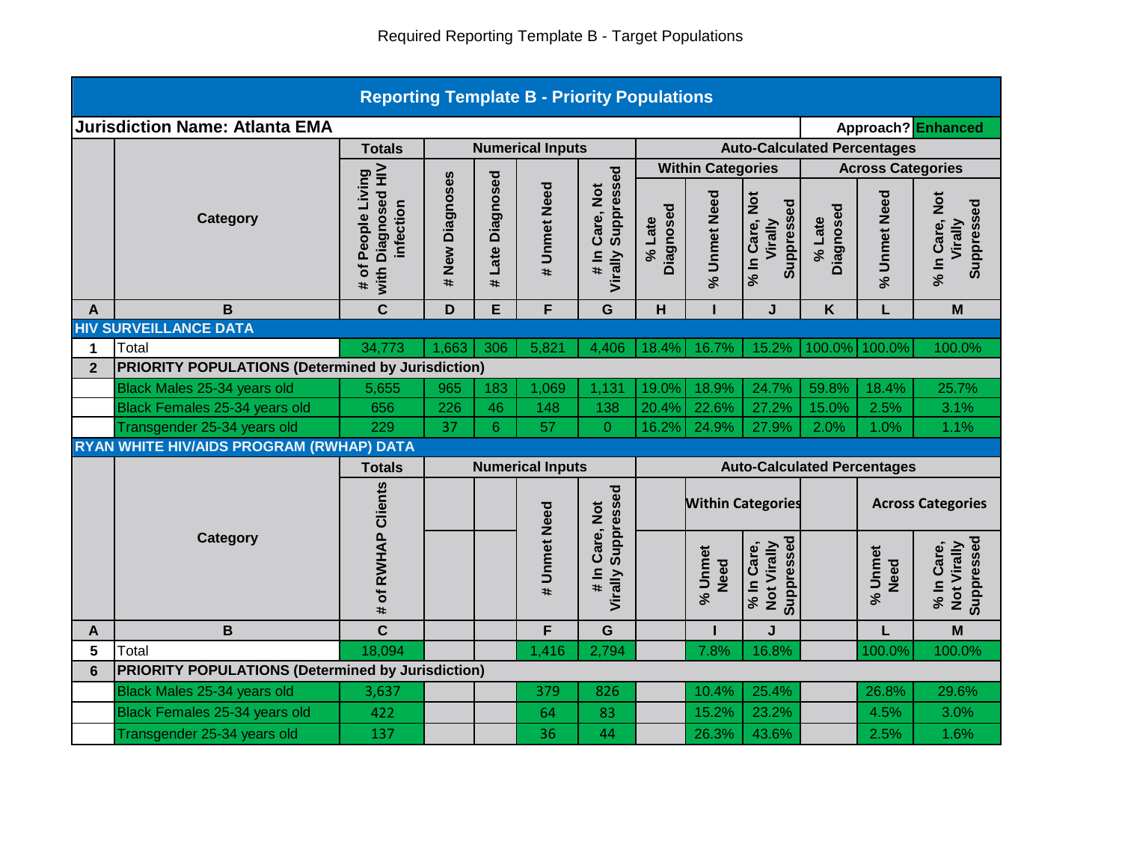| <b>Reporting Template B - Priority Populations</b>          |                                                                         |                                                          |                         |                  |                         |                                        |                          |                                                                |                                         |                                    |                          |                                         |  |  |
|-------------------------------------------------------------|-------------------------------------------------------------------------|----------------------------------------------------------|-------------------------|------------------|-------------------------|----------------------------------------|--------------------------|----------------------------------------------------------------|-----------------------------------------|------------------------------------|--------------------------|-----------------------------------------|--|--|
| <b>Jurisdiction Name: Atlanta EMA</b><br>Approach? Enhanced |                                                                         |                                                          |                         |                  |                         |                                        |                          |                                                                |                                         |                                    |                          |                                         |  |  |
|                                                             |                                                                         | <b>Totals</b>                                            | <b>Numerical Inputs</b> |                  |                         |                                        |                          |                                                                |                                         | <b>Auto-Calculated Percentages</b> |                          |                                         |  |  |
|                                                             |                                                                         |                                                          |                         |                  |                         |                                        | <b>Within Categories</b> |                                                                | <b>Across Categories</b>                |                                    |                          |                                         |  |  |
|                                                             | <b>Category</b>                                                         | with Diagnosed HIV<br># of People Living<br>infection    | # New Diagnoses         | # Late Diagnosed | # Unmet Need            | Virally Suppressed<br>Care, Not<br>lim | Diagnosed<br>% Late      | % Unmet Need                                                   | % In Care, Not<br>Suppressed<br>Virally | Diagnosed<br>% Late                | % Unmet Need             | % In Care, Not<br>Suppressed<br>Virally |  |  |
| A                                                           | B                                                                       | $\mathbf c$                                              | D                       | E                | F                       | G                                      | H                        |                                                                | J                                       | K                                  |                          | M                                       |  |  |
|                                                             | <b>HIV SURVEILLANCE DATA</b>                                            |                                                          |                         |                  |                         |                                        |                          |                                                                |                                         |                                    |                          |                                         |  |  |
| 1                                                           | Total                                                                   | 34,773                                                   | 1,663                   | 306              | 5,821                   | 4,406                                  | 18.4%                    | 16.7%                                                          | 15.2%                                   | 100.0%                             | 100.0%                   | 100.0%                                  |  |  |
| $\overline{2}$                                              | <b>PRIORITY POPULATIONS (Determined by Jurisdiction)</b>                |                                                          |                         |                  |                         |                                        |                          |                                                                |                                         |                                    |                          |                                         |  |  |
|                                                             | Black Males 25-34 years old                                             | 5,655                                                    | 965                     | 183              | 1,069                   | 1,131                                  | 19.0%                    | 18.9%                                                          | 24.7%                                   | 59.8%                              | 18.4%                    | 25.7%                                   |  |  |
|                                                             | Black Females 25-34 years old                                           | 656<br>229                                               | 226<br>37               | 46               | 148<br>57               | 138                                    | 20.4%                    | 22.6%                                                          | 27.2%                                   | 15.0%                              | 2.5%                     | 3.1%                                    |  |  |
|                                                             | Transgender 25-34 years old<br>RYAN WHITE HIV/AIDS PROGRAM (RWHAP) DATA |                                                          |                         | 6                |                         | $\Omega$                               | 16.2%                    | 24.9%                                                          | 27.9%                                   | 2.0%                               | 1.0%                     | 1.1%                                    |  |  |
|                                                             |                                                                         | <b>Totals</b>                                            |                         |                  | <b>Numerical Inputs</b> |                                        |                          |                                                                |                                         |                                    |                          |                                         |  |  |
|                                                             |                                                                         |                                                          |                         |                  |                         | Suppressed                             |                          | <b>Auto-Calculated Percentages</b><br><b>Within Categories</b> |                                         |                                    | <b>Across Categories</b> |                                         |  |  |
|                                                             | <b>Category</b>                                                         | of RWHAP Clients<br>#                                    |                         |                  | # Unmet Need            | Care, Not<br>$\frac{1}{4}$<br>Virally  |                          | % Unmet<br><b>Need</b>                                         | Suppressed<br>Not Virally<br>% In Care, |                                    | % Unmet<br><b>Need</b>   | Suppressed<br>% In Care,<br>Not Virally |  |  |
| A                                                           | B                                                                       | $\overline{c}$                                           |                         |                  | F                       | G                                      |                          |                                                                | J                                       |                                    | L                        | M                                       |  |  |
| 5                                                           | Total                                                                   | 18,094                                                   |                         |                  | 1,416                   | 2,794                                  |                          | 7.8%                                                           | 16.8%                                   |                                    | 100.0%                   | 100.0%                                  |  |  |
| $6\phantom{a}$                                              |                                                                         | <b>PRIORITY POPULATIONS (Determined by Jurisdiction)</b> |                         |                  |                         |                                        |                          |                                                                |                                         |                                    |                          |                                         |  |  |
|                                                             | Black Males 25-34 years old                                             | 3,637                                                    |                         |                  | 379                     | 826                                    |                          | 10.4%                                                          | 25.4%                                   |                                    | 26.8%                    | 29.6%                                   |  |  |
|                                                             | Black Females 25-34 years old                                           | 422                                                      |                         |                  | 64                      | 83                                     |                          | 15.2%                                                          | 23.2%                                   |                                    | 4.5%                     | 3.0%                                    |  |  |
|                                                             | Transgender 25-34 years old                                             | 137                                                      |                         |                  | 36                      | 44                                     |                          | 26.3%                                                          | 43.6%                                   |                                    | 2.5%                     | 1.6%                                    |  |  |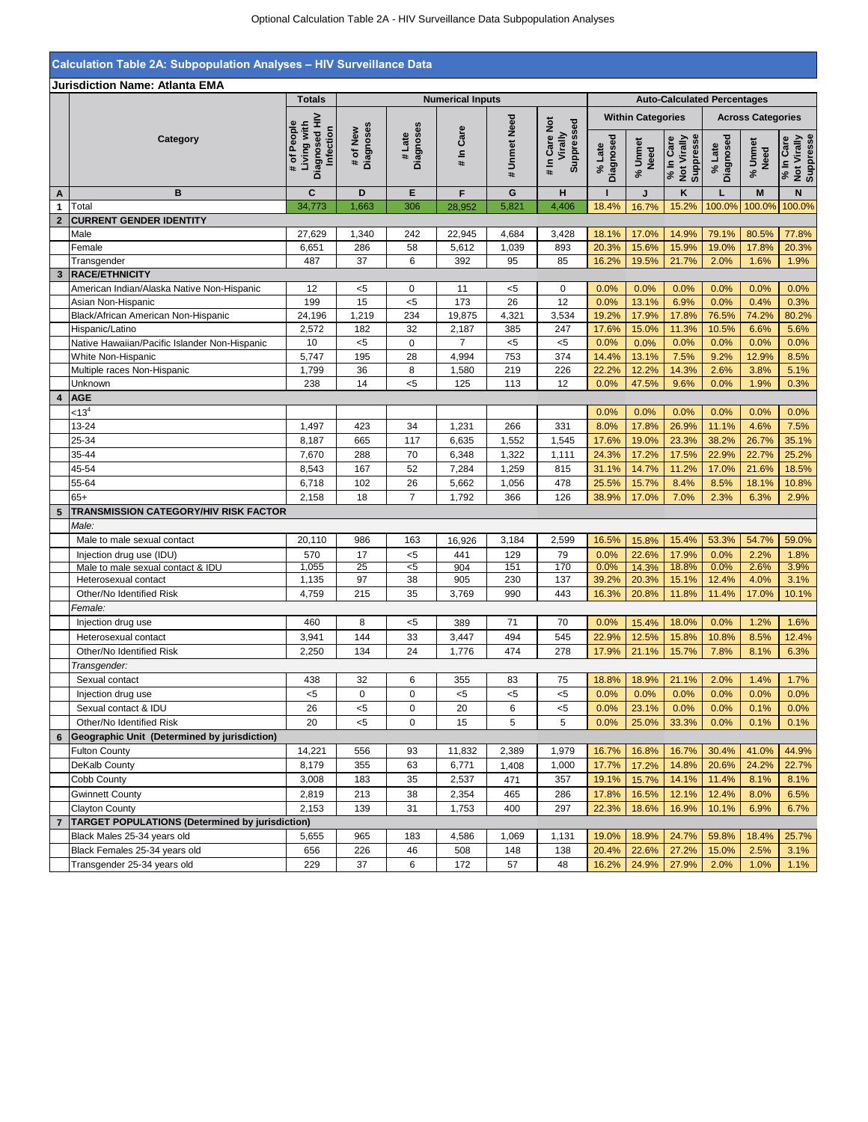## **Calculation Table 2A: Subpopulation Analyses – HIV Surveillance Data**

|                |                                                           | <b>Totals</b>                                            | <b>Numerical Inputs</b> |                     |                |              |                                        | <b>Auto-Calculated Percentages</b>                   |                 |                                       |                       |                                             |                                       |
|----------------|-----------------------------------------------------------|----------------------------------------------------------|-------------------------|---------------------|----------------|--------------|----------------------------------------|------------------------------------------------------|-----------------|---------------------------------------|-----------------------|---------------------------------------------|---------------------------------------|
|                |                                                           |                                                          |                         |                     |                |              |                                        | <b>Within Categories</b><br><b>Across Categories</b> |                 |                                       |                       |                                             |                                       |
|                | Category                                                  | Diagnosed HIV<br># of People<br>Living with<br>Infection | Diagnoses<br># of New   | Diagnoses<br># Late | # In Care      | # Unmet Need | # In Care Not<br>Suppressed<br>Virally | Diagnosed<br>% Late                                  | % Unmet<br>Need | Not Virally<br>Suppresse<br>% In Care | Diagnosed<br>$%$ Late | Jnmet<br>Need<br>$\mathcal{S}_{\mathbf{0}}$ | Not Virally<br>Suppresse<br>% In Care |
| Α              | B                                                         | C                                                        | D                       | E                   | F              | G            | H                                      | $\mathbf{I}$                                         | J               | K                                     | L                     | M                                           | N                                     |
| 1              | Total                                                     | 34,773                                                   | 1,663                   | 306                 | 28,952         | 5,821        | 4,406                                  | 18.4%                                                | 16.7%           | 15.2%                                 | 100.0%                | 100.0%                                      | 100.0%                                |
| $\overline{2}$ | <b>CURRENT GENDER IDENTITY</b>                            |                                                          |                         |                     |                |              |                                        |                                                      |                 |                                       |                       |                                             |                                       |
|                | Male                                                      | 27,629                                                   | 1,340                   | 242                 | 22,945         | 4,684        | 3,428                                  | 18.1%                                                | 17.0%           | 14.9%                                 | 79.1%                 | 80.5%                                       | 77.8%                                 |
|                | Female                                                    | 6,651                                                    | 286                     | 58                  | 5,612          | 1,039        | 893                                    | 20.3%                                                | 15.6%           | 15.9%                                 | 19.0%                 | 17.8%                                       | 20.3%                                 |
|                | Transgender                                               | 487                                                      | 37                      | 6                   | 392            | 95           | 85                                     | 16.2%                                                | 19.5%           | 21.7%                                 | 2.0%                  | 1.6%                                        | 1.9%                                  |
|                | 3 RACE/ETHNICITY                                          |                                                          |                         |                     |                |              | $\mathbf 0$                            | 0.0%                                                 |                 | 0.0%                                  | 0.0%                  |                                             |                                       |
|                | American Indian/Alaska Native Non-Hispanic                | 12<br>199                                                | $<$ 5<br>15             | 0<br>$5$            | 11<br>173      | $<$ 5<br>26  | 12                                     | 0.0%                                                 | 0.0%<br>13.1%   | 6.9%                                  | 0.0%                  | 0.0%<br>0.4%                                | 0.0%<br>0.3%                          |
|                | Asian Non-Hispanic<br>Black/African American Non-Hispanic | 24,196                                                   | 1,219                   | 234                 | 19,875         | 4,321        | 3,534                                  | 19.2%                                                | 17.9%           | 17.8%                                 | 76.5%                 | 74.2%                                       | 80.2%                                 |
|                | Hispanic/Latino                                           | 2,572                                                    | 182                     | 32                  | 2,187          | 385          | 247                                    | 17.6%                                                | 15.0%           | 11.3%                                 | 10.5%                 | 6.6%                                        | 5.6%                                  |
|                | Native Hawaiian/Pacific Islander Non-Hispanic             | 10                                                       | $5$                     | $\pmb{0}$           | $\overline{7}$ | $5$          | $5$                                    | 0.0%                                                 | 0.0%            | 0.0%                                  | 0.0%                  | 0.0%                                        | 0.0%                                  |
|                | White Non-Hispanic                                        | 5,747                                                    | 195                     | 28                  | 4,994          | 753          | 374                                    | 14.4%                                                | 13.1%           | 7.5%                                  | 9.2%                  | 12.9%                                       | 8.5%                                  |
|                | Multiple races Non-Hispanic                               | 1,799                                                    | 36                      | 8                   | 1,580          | 219          | 226                                    | 22.2%                                                | 12.2%           | 14.3%                                 | 2.6%                  | 3.8%                                        | 5.1%                                  |
|                | Unknown                                                   | 238                                                      | 14                      | 5                   | 125            | 113          | 12                                     | 0.0%                                                 | 47.5%           | 9.6%                                  | 0.0%                  | 1.9%                                        | 0.3%                                  |
| 4              | <b>AGE</b>                                                |                                                          |                         |                     |                |              |                                        |                                                      |                 |                                       |                       |                                             |                                       |
|                | < 13 <sup>4</sup>                                         |                                                          |                         |                     |                |              |                                        | 0.0%                                                 | 0.0%            | 0.0%                                  | 0.0%                  | 0.0%                                        | 0.0%                                  |
|                | 13-24                                                     | 1,497                                                    | 423                     | 34                  | 1,231          | 266          | 331                                    | 8.0%                                                 | 17.8%           | 26.9%                                 | 11.1%                 | 4.6%                                        | 7.5%                                  |
|                | 25-34                                                     | 8,187                                                    | 665                     | 117                 | 6,635          | 1,552        | 1,545                                  | 17.6%                                                | 19.0%           | 23.3%                                 | 38.2%                 | 26.7%                                       | 35.1%                                 |
|                | 35-44                                                     | 7,670                                                    | 288                     | 70                  | 6,348          | 1,322        | 1,111                                  | 24.3%                                                | 17.2%           | 17.5%                                 | 22.9%                 | 22.7%                                       | 25.2%                                 |
|                | 45-54                                                     | 8,543                                                    | 167                     | 52                  | 7,284          | 1,259        | 815                                    | 31.1%                                                | 14.7%           | 11.2%                                 | 17.0%                 | 21.6%                                       | 18.5%                                 |
|                | 55-64                                                     | 6,718                                                    | 102                     | 26                  | 5,662          | 1,056        | 478                                    | 25.5%                                                | 15.7%           | 8.4%                                  | 8.5%                  | 18.1%                                       | 10.8%                                 |
|                | $65+$                                                     | 2,158                                                    | 18                      | $\overline{7}$      | 1,792          | 366          | 126                                    | 38.9%                                                | 17.0%           | 7.0%                                  | 2.3%                  | 6.3%                                        | 2.9%                                  |
| 5              | <b>TRANSMISSION CATEGORY/HIV RISK FACTOR</b>              |                                                          |                         |                     |                |              |                                        |                                                      |                 |                                       |                       |                                             |                                       |
|                | Male:                                                     |                                                          |                         |                     |                |              |                                        |                                                      |                 |                                       |                       |                                             |                                       |
|                | Male to male sexual contact                               | 20,110                                                   | 986                     | 163                 | 16,926         | 3,184        | 2,599                                  | 16.5%                                                | 15.8%           | 15.4%                                 | 53.3%                 | 54.7%                                       | 59.0%                                 |
|                | Injection drug use (IDU)                                  | 570                                                      | 17                      | $5$                 | 441            | 129          | 79                                     | 0.0%                                                 | 22.6%           | 17.9%                                 | 0.0%                  | 2.2%                                        | 1.8%                                  |
|                | Male to male sexual contact & IDU                         | 1,055                                                    | 25                      | $\overline{c}$      | 904            | 151          | 170                                    | 0.0%                                                 | 14.3%           | 18.8%                                 | 0.0%                  | 2.6%                                        | 3.9%                                  |
|                | Heterosexual contact                                      | 1,135                                                    | 97                      | 38                  | 905            | 230          | 137                                    | 39.2%                                                | 20.3%           | 15.1%                                 | 12.4%                 | 4.0%                                        | 3.1%                                  |
|                | Other/No Identified Risk                                  | 4,759                                                    | 215                     | 35                  | 3,769          | 990          | 443                                    | 16.3%                                                | 20.8%           | 11.8%                                 | 11.4%                 | 17.0%                                       | 10.1%                                 |
|                | Female:                                                   |                                                          |                         |                     |                |              |                                        |                                                      |                 |                                       |                       |                                             |                                       |
|                | Injection drug use                                        | 460                                                      | 8                       | $<$ 5               | 389            | 71           | 70                                     | 0.0%                                                 | 15.4%           | 18.0%                                 | 0.0%                  | 1.2%                                        | 1.6%                                  |
|                | Heterosexual contact                                      | 3,941                                                    | 144                     | 33                  | 3,447          | 494          | 545                                    | 22.9%                                                | 12.5%           | 15.8%                                 | 10.8%                 | 8.5%                                        | 12.4%                                 |
|                | Other/No Identified Risk                                  | 2,250                                                    | 134                     | 24                  | 1,776          | 474          | 278                                    | 17.9%                                                | 21.1%           | 15.7%                                 | 7.8%                  | 8.1%                                        | 6.3%                                  |
|                | Transgender:                                              |                                                          |                         |                     |                |              |                                        |                                                      |                 |                                       |                       |                                             |                                       |
|                | Sexual contact                                            | 438                                                      | 32                      | 6                   | 355            | 83           | 75                                     | 18.8%                                                | 18.9%           | 21.1%                                 | 2.0%                  | 1.4%                                        | 1.7%                                  |
|                | Injection drug use                                        | $5$                                                      | 0                       | $\mathbf 0$         | $5$            | 5            | <5                                     | 0.0%                                                 | 0.0%            | 0.0%                                  | 0.0%                  | 0.0%                                        | 0.0%                                  |
|                | Sexual contact & IDU                                      | 26                                                       | $5$                     | 0                   | 20             | 6            | <5                                     | 0.0%                                                 | 23.1%           | 0.0%                                  | 0.0%                  | 0.1%                                        | 0.0%                                  |
|                | Other/No Identified Risk                                  | 20                                                       | $5$                     | $\Omega$            | 15             | 5            | 5                                      | 0.0%                                                 | 25.0%           | 33.3%                                 | 0.0%                  | 0.1%                                        | 0.1%                                  |
|                | Geographic Unit (Determined by jurisdiction)              |                                                          |                         |                     |                |              |                                        |                                                      |                 |                                       |                       |                                             |                                       |
|                | <b>Fulton County</b>                                      | 14,221                                                   | 556                     | 93                  | 11,832         | 2,389        | 1,979                                  | 16.7%                                                | 16.8%           | 16.7%                                 | 30.4%                 | 41.0%                                       | 44.9%                                 |
|                | DeKalb County                                             | 8,179                                                    | 355                     | 63                  | 6,771          | 1,408        | 1,000                                  | 17.7%                                                | 17.2%           | 14.8%                                 | 20.6%                 | 24.2%                                       | 22.7%                                 |
|                | Cobb County                                               | 3,008                                                    | 183                     | 35                  | 2,537          | 471          | 357                                    | 19.1%                                                | 15.7%           | 14.1%                                 | 11.4%                 | 8.1%                                        | 8.1%                                  |
|                | <b>Gwinnett County</b>                                    | 2,819                                                    | 213                     | 38                  | 2,354          | 465          | 286                                    | 17.8%                                                | 16.5%           | 12.1%                                 | 12.4%                 | 8.0%                                        | 6.5%                                  |
|                | <b>Clayton County</b>                                     | 2,153                                                    | 139                     | 31                  | 1,753          | 400          | 297                                    | 22.3%                                                | 18.6%           | 16.9%                                 | 10.1%                 | 6.9%                                        | 6.7%                                  |
|                | <b>TARGET POPULATIONS (Determined by jurisdiction)</b>    |                                                          |                         |                     |                |              |                                        |                                                      |                 |                                       |                       |                                             |                                       |
|                | Black Males 25-34 years old                               | 5,655                                                    | 965                     | 183                 | 4,586          | 1,069        | 1,131                                  | 19.0%                                                | 18.9%           | 24.7%                                 | 59.8%                 | 18.4%                                       | 25.7%                                 |
|                | Black Females 25-34 years old                             | 656                                                      | 226                     | 46                  | 508            | 148          | 138                                    | 20.4%                                                | 22.6%           | 27.2%                                 | 15.0%                 | 2.5%                                        | 3.1%                                  |
|                | Transgender 25-34 years old                               | 229                                                      | 37                      | 6                   | 172            | 57           | 48                                     | 16.2%                                                | 24.9%           | 27.9%                                 | 2.0%                  | 1.0%                                        | 1.1%                                  |